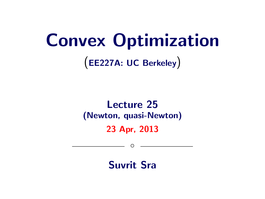# Convex Optimization

(EE227A: UC Berkeley)

## Lecture 25 (Newton, quasi-Newton)

23 Apr, 2013

 $\circ$ 

Suvrit Sra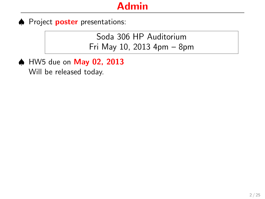♦ Project **poster** presentations:

Soda 306 HP Auditorium Fri May 10, 2013 4pm – 8pm

♠ HW5 due on May 02, 2013 Will be released today.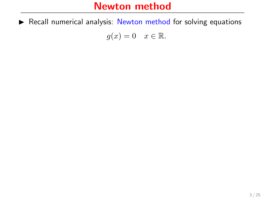$\triangleright$  Recall numerical analysis: Newton method for solving equations

 $g(x) = 0 \quad x \in \mathbb{R}.$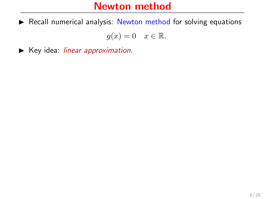$\triangleright$  Recall numerical analysis: Newton method for solving equations

 $g(x) = 0 \quad x \in \mathbb{R}.$ 

 $\blacktriangleright$  Key idea: linear approximation.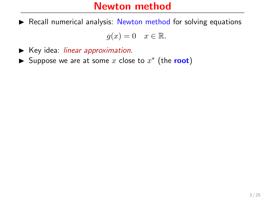$\triangleright$  Recall numerical analysis: Newton method for solving equations

$$
g(x) = 0 \quad x \in \mathbb{R}.
$$

- $\blacktriangleright$  Key idea: *linear approximation*.
- ► Suppose we are at some x close to  $x^*$  (the root)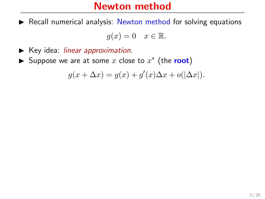$\triangleright$  Recall numerical analysis: Newton method for solving equations

$$
g(x) = 0 \quad x \in \mathbb{R}.
$$

- $\blacktriangleright$  Key idea: *linear approximation*.
- ► Suppose we are at some x close to  $x^*$  (the root)

$$
g(x + \Delta x) = g(x) + g'(x)\Delta x + o(|\Delta x|).
$$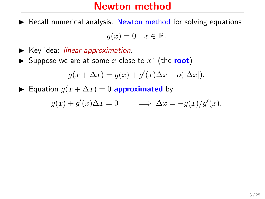$\triangleright$  Recall numerical analysis: Newton method for solving equations

$$
g(x) = 0 \quad x \in \mathbb{R}.
$$

- $\blacktriangleright$  Key idea: *linear approximation*.
- ► Suppose we are at some x close to  $x^*$  (the root)

$$
g(x + \Delta x) = g(x) + g'(x)\Delta x + o(|\Delta x|).
$$

► Equation  $g(x + \Delta x) = 0$  approximated by

$$
g(x) + g'(x)\Delta x = 0 \qquad \Longrightarrow \Delta x = -g(x)/g'(x).
$$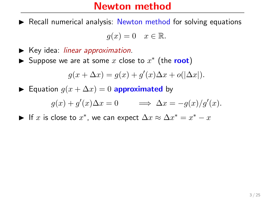$\triangleright$  Recall numerical analysis: Newton method for solving equations

$$
g(x) = 0 \quad x \in \mathbb{R}.
$$

- $\blacktriangleright$  Key idea: *linear approximation*.
- ► Suppose we are at some x close to  $x^*$  (the root)

$$
g(x + \Delta x) = g(x) + g'(x)\Delta x + o(|\Delta x|).
$$

► Equation  $g(x + \Delta x) = 0$  approximated by

$$
g(x) + g'(x)\Delta x = 0 \qquad \Longrightarrow \Delta x = -g(x)/g'(x).
$$

► If x is close to  $x^*$ , we can expect  $\Delta x \approx \Delta x^* = x^* - x$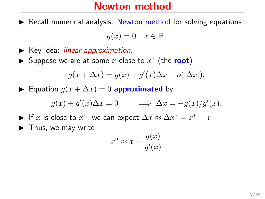$\triangleright$  Recall numerical analysis: Newton method for solving equations

$$
g(x) = 0 \quad x \in \mathbb{R}.
$$

- Key idea: *linear approximation*.
- ► Suppose we are at some x close to  $x^*$  (the root)

$$
g(x + \Delta x) = g(x) + g'(x)\Delta x + o(|\Delta x|).
$$

► Equation  $g(x + \Delta x) = 0$  approximated by

$$
g(x) + g'(x)\Delta x = 0 \qquad \Longrightarrow \Delta x = -g(x)/g'(x).
$$

- ► If x is close to  $x^*$ , we can expect  $\Delta x \approx \Delta x^* = x^* x$
- $\blacktriangleright$  Thus, we may write

$$
x^* \approx x - \frac{g(x)}{g'(x)}
$$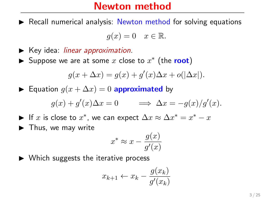$\triangleright$  Recall numerical analysis: Newton method for solving equations

$$
g(x) = 0 \quad x \in \mathbb{R}.
$$

- $\blacktriangleright$  Key idea: *linear approximation*.
- ► Suppose we are at some x close to  $x^*$  (the root)

$$
g(x + \Delta x) = g(x) + g'(x)\Delta x + o(|\Delta x|).
$$

► Equation  $q(x + \Delta x) = 0$  approximated by

$$
g(x) + g'(x)\Delta x = 0 \qquad \Longrightarrow \Delta x = -g(x)/g'(x).
$$

- ► If x is close to  $x^*$ , we can expect  $\Delta x \approx \Delta x^* = x^* x$
- $\blacktriangleright$  Thus, we may write

$$
x^* \approx x - \frac{g(x)}{g'(x)}
$$

 $\triangleright$  Which suggests the iterative process

$$
x_{k+1} \leftarrow x_k - \frac{g(x_k)}{g'(x_k)}
$$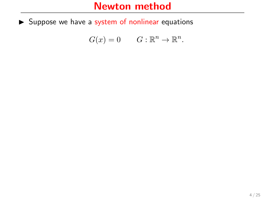$G(x) = 0$   $G: \mathbb{R}^n \to \mathbb{R}^n$ .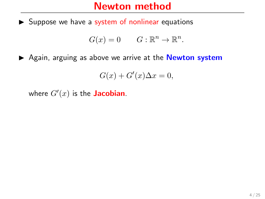$$
G(x) = 0 \t G: \mathbb{R}^n \to \mathbb{R}^n.
$$

Again, arguing as above we arrive at the **Newton system** 

$$
G(x) + G'(x)\Delta x = 0,
$$

where  $G'(x)$  is the **Jacobian**.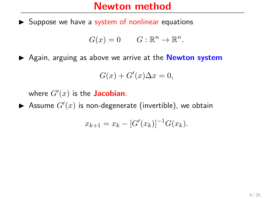$$
G(x) = 0 \t G: \mathbb{R}^n \to \mathbb{R}^n.
$$

 $\triangleright$  Again, arguing as above we arrive at the **Newton system** 

$$
G(x) + G'(x)\Delta x = 0,
$$

where  $G'(x)$  is the **Jacobian**.

 $\blacktriangleright$  Assume  $G'(x)$  is non-degenerate (invertible), we obtain

$$
x_{k+1} = x_k - [G'(x_k)]^{-1} G(x_k).
$$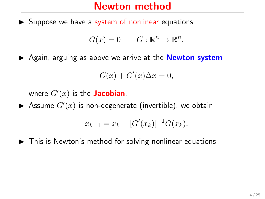$$
G(x) = 0 \t G: \mathbb{R}^n \to \mathbb{R}^n.
$$

 $\triangleright$  Again, arguing as above we arrive at the **Newton system** 

$$
G(x) + G'(x)\Delta x = 0,
$$

where  $G'(x)$  is the **Jacobian**.

 $\blacktriangleright$  Assume  $G'(x)$  is non-degenerate (invertible), we obtain

$$
x_{k+1} = x_k - [G'(x_k)]^{-1} G(x_k).
$$

 $\blacktriangleright$  This is Newton's method for solving nonlinear equations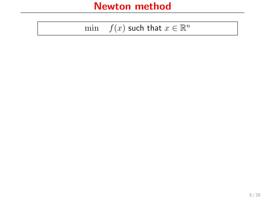| mın |  | $f(x)$ such that $x \in \mathbb{R}^n$ |  |  |  |  |
|-----|--|---------------------------------------|--|--|--|--|
|-----|--|---------------------------------------|--|--|--|--|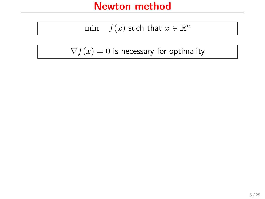$$
\min \quad f(x) \text{ such that } x \in \mathbb{R}^n
$$

 $\nabla f(x) = 0$  is necessary for optimality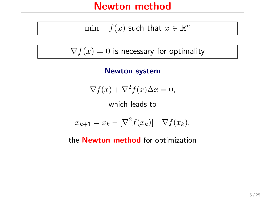$$
\min \quad f(x) \text{ such that } x \in \mathbb{R}^n
$$

 $\nabla f(x) = 0$  is necessary for optimality

Newton system

$$
\nabla f(x) + \nabla^2 f(x) \Delta x = 0,
$$

which leads to

$$
x_{k+1} = x_k - [\nabla^2 f(x_k)]^{-1} \nabla f(x_k).
$$

the **Newton method** for optimization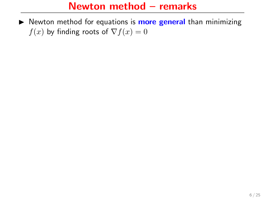$\triangleright$  Newton method for equations is **more general** than minimizing  $f(x)$  by finding roots of  $\nabla f(x) = 0$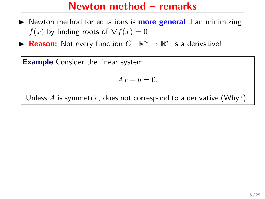$\triangleright$  Newton method for equations is **more general** than minimizing  $f(x)$  by finding roots of  $\nabla f(x) = 0$ 

**Reason:** Not every function  $G : \mathbb{R}^n \to \mathbb{R}^n$  is a derivative!

**Example** Consider the linear system

$$
Ax - b = 0.
$$

Unless  $\vec{A}$  is symmetric, does not correspond to a derivative (Why?)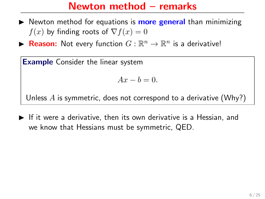- $\triangleright$  Newton method for equations is **more general** than minimizing  $f(x)$  by finding roots of  $\nabla f(x) = 0$
- **Reason:** Not every function  $G : \mathbb{R}^n \to \mathbb{R}^n$  is a derivative!

**Example** Consider the linear system

$$
Ax - b = 0.
$$

Unless  $\vec{A}$  is symmetric, does not correspond to a derivative (Why?)

 $\blacktriangleright$  If it were a derivative, then its own derivative is a Hessian, and we know that Hessians must be symmetric, QED.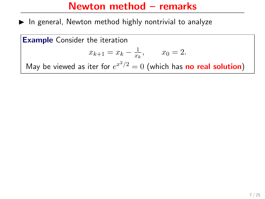$\triangleright$  In general, Newton method highly nontrivial to analyze

Example Consider the iteration

$$
x_{k+1} = x_k - \frac{1}{x_k}, \qquad x_0 = 2.
$$

May be viewed as iter for  $e^{x^2/2} = 0$  (which has no real solution)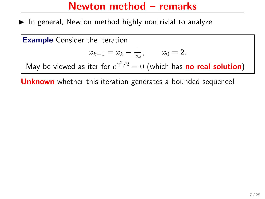$\blacktriangleright$  In general, Newton method highly nontrivial to analyze

Example Consider the iteration

$$
x_{k+1} = x_k - \frac{1}{x_k}, \qquad x_0 = 2.
$$

May be viewed as iter for  $e^{x^2/2} = 0$  (which has no real solution)

Unknown whether this iteration generates a bounded sequence!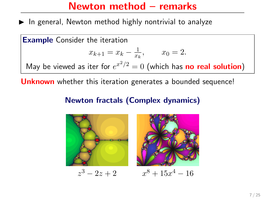$\blacktriangleright$  In general, Newton method highly nontrivial to analyze

Example Consider the iteration

$$
x_{k+1} = x_k - \frac{1}{x_k}, \qquad x_0 = 2.
$$

May be viewed as iter for  $e^{x^2/2} = 0$  (which has no real solution)

Unknown whether this iteration generates a bounded sequence!

#### Newton fractals (Complex dynamics)

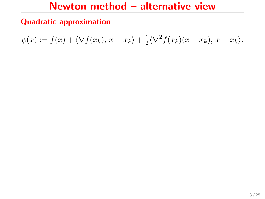#### Quadratic approximation

$$
\phi(x) := f(x) + \langle \nabla f(x_k), x - x_k \rangle + \frac{1}{2} \langle \nabla^2 f(x_k)(x - x_k), x - x_k \rangle.
$$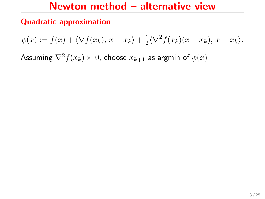#### Quadratic approximation

$$
\phi(x) := f(x) + \langle \nabla f(x_k), x - x_k \rangle + \frac{1}{2} \langle \nabla^2 f(x_k)(x - x_k), x - x_k \rangle.
$$

Assuming  $\nabla^2 f(x_k) \succ 0$ , choose  $x_{k+1}$  as argmin of  $\phi(x)$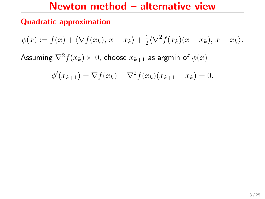#### Quadratic approximation

$$
\phi(x) := f(x) + \langle \nabla f(x_k), x - x_k \rangle + \frac{1}{2} \langle \nabla^2 f(x_k)(x - x_k), x - x_k \rangle.
$$

Assuming  $\nabla^2 f(x_k) \succ 0$ , choose  $x_{k+1}$  as argmin of  $\phi(x)$ 

$$
\phi'(x_{k+1}) = \nabla f(x_k) + \nabla^2 f(x_k)(x_{k+1} - x_k) = 0.
$$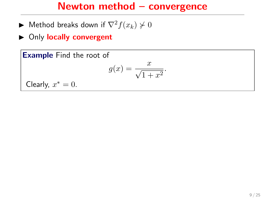## Newton method – convergence

- ► Method breaks down if  $\nabla^2 f(x_k) \not\geq 0$
- ▶ Only locally convergent

Example Find the root of

$$
g(x) = \frac{x}{\sqrt{1+x^2}}.
$$

Clearly,  $x^* = 0$ .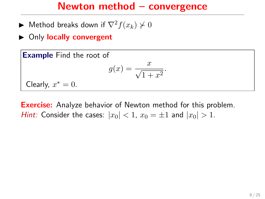## Newton method – convergence

- ► Method breaks down if  $\nabla^2 f(x_k) \not\succ 0$
- ▶ Only locally convergent

Example Find the root of

$$
g(x) = \frac{x}{\sqrt{1+x^2}}.
$$

Clearly,  $x^* = 0$ .

**Exercise:** Analyze behavior of Newton method for this problem. *Hint:* Consider the cases:  $|x_0| < 1$ ,  $x_0 = \pm 1$  and  $|x_0| > 1$ .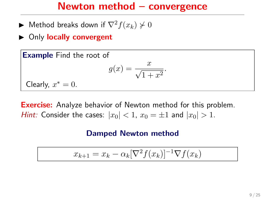## Newton method – convergence

- ► Method breaks down if  $\nabla^2 f(x_k) \not\succ 0$
- $\triangleright$  Only locally convergent

Example Find the root of

$$
g(x) = \frac{x}{\sqrt{1+x^2}}.
$$

Clearly,  $x^* = 0$ .

**Exercise:** Analyze behavior of Newton method for this problem. *Hint:* Consider the cases:  $|x_0| < 1$ ,  $x_0 = \pm 1$  and  $|x_0| > 1$ .

#### Damped Newton method

$$
x_{k+1} = x_k - \alpha_k [\nabla^2 f(x_k)]^{-1} \nabla f(x_k)
$$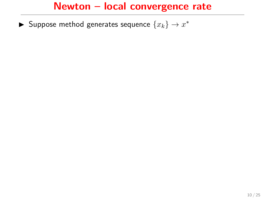▶ Suppose method generates sequence  $\{x_k\} \rightarrow x^*$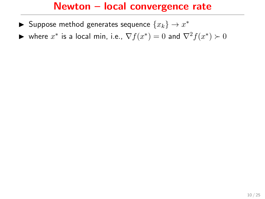- ▶ Suppose method generates sequence  $\{x_k\} \rightarrow x^*$
- ► where  $x^*$  is a local min, i.e.,  $\nabla f(x^*) = 0$  and  $\nabla^2 f(x^*) \succ 0$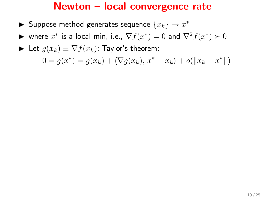- ▶ Suppose method generates sequence  $\{x_k\} \rightarrow x^*$
- ► where  $x^*$  is a local min, i.e.,  $\nabla f(x^*) = 0$  and  $\nabla^2 f(x^*) \succ 0$
- ► Let  $g(x_k) \equiv \nabla f(x_k)$ ; Taylor's theorem:

 $0 = g(x^*) = g(x_k) + \langle \nabla g(x_k), x^* - x_k \rangle + o(||x_k - x^*||)$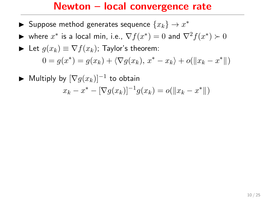- ▶ Suppose method generates sequence  $\{x_k\} \rightarrow x^*$
- ► where  $x^*$  is a local min, i.e.,  $\nabla f(x^*) = 0$  and  $\nabla^2 f(x^*) \succ 0$

Let 
$$
g(x_k) \equiv \nabla f(x_k)
$$
; Taylor's theorem:  
\n
$$
0 = g(x^*) = g(x_k) + \langle \nabla g(x_k), x^* - x_k \rangle + o(||x_k - x^*||)
$$

$$
\blacktriangleright \text{ Multiply by } [\nabla g(x_k)]^{-1} \text{ to obtain}
$$

$$
x_k - x^* - [\nabla g(x_k)]^{-1} g(x_k) = o(\|x_k - x^*\|)
$$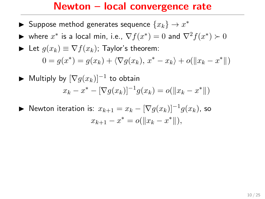- ▶ Suppose method generates sequence  $\{x_k\} \rightarrow x^*$
- ► where  $x^*$  is a local min, i.e.,  $\nabla f(x^*) = 0$  and  $\nabla^2 f(x^*) \succ 0$

Let 
$$
g(x_k) \equiv \nabla f(x_k)
$$
; Taylor's theorem:  
\n
$$
0 = g(x^*) = g(x_k) + \langle \nabla g(x_k), x^* - x_k \rangle + o(||x_k - x^*||)
$$

$$
\blacktriangleright \text{ Multiply by } [\nabla g(x_k)]^{-1} \text{ to obtain}
$$

$$
x_k - x^* - [\nabla g(x_k)]^{-1} g(x_k) = o(\|x_k - x^*\|)
$$

▶ Newton iteration is:  $x_{k+1} = x_k - [\nabla g(x_k)]^{-1} g(x_k)$ , so  $x_{k+1} - x^* = o(||x_k - x^*||),$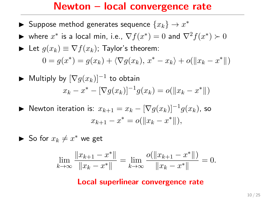- ▶ Suppose method generates sequence  $\{x_k\} \rightarrow x^*$
- ► where  $x^*$  is a local min, i.e.,  $\nabla f(x^*) = 0$  and  $\nabla^2 f(x^*) \succ 0$

Let 
$$
g(x_k) \equiv \nabla f(x_k)
$$
; Taylor's theorem:  
\n
$$
0 = g(x^*) = g(x_k) + \langle \nabla g(x_k), x^* - x_k \rangle + o(||x_k - x^*||)
$$

$$
\blacktriangleright \text{ Multiply by } [\nabla g(x_k)]^{-1} \text{ to obtain}
$$

$$
x_k - x^* - [\nabla g(x_k)]^{-1} g(x_k) = o(\|x_k - x^*\|)
$$

► Newton iteration is: 
$$
x_{k+1} = x_k - [\nabla g(x_k)]^{-1} g(x_k)
$$
, so  
\n
$$
x_{k+1} - x^* = o(||x_k - x^*||),
$$

► So for 
$$
x_k \neq x^*
$$
 we get

$$
\lim_{k \to \infty} \frac{\|x_{k+1} - x^*\|}{\|x_k - x^*\|} = \lim_{k \to \infty} \frac{o(\|x_{k+1} - x^*\|)}{\|x_k - x^*\|} = 0.
$$

#### Local superlinear convergence rate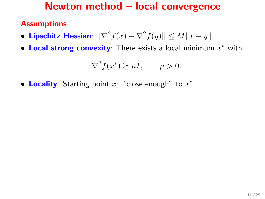## Newton method – local convergence

#### **Assumptions**

- Lipschitz Hessian:  $\|\nabla^2 f(x) \nabla^2 f(y)\| \le M\|x y\|$
- Local strong convexity: There exists a local minimum  $x^*$  with

$$
\nabla^2 f(x^*) \succeq \mu I, \qquad \mu > 0.
$$

• Locality: Starting point  $x_0$  "close enough" to  $x^*$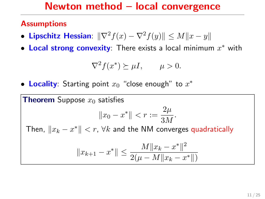#### Newton method – local convergence

#### **Assumptions**

- Lipschitz Hessian:  $\|\nabla^2 f(x) \nabla^2 f(y)\| \le M\|x y\|$
- Local strong convexity: There exists a local minimum  $x^*$  with

$$
\nabla^2 f(x^*) \succeq \mu I, \qquad \mu > 0.
$$

• Locality: Starting point  $x_0$  "close enough" to  $x^*$ 

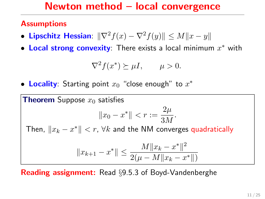### Newton method – local convergence

#### Assumptions

- Lipschitz Hessian:  $\|\nabla^2 f(x) \nabla^2 f(y)\| \le M\|x y\|$
- Local strong convexity: There exists a local minimum  $x^*$  with

$$
\nabla^2 f(x^*) \succeq \mu I, \qquad \mu > 0.
$$

• Locality: Starting point  $x_0$  "close enough" to  $x^*$ 



Reading assignment: Read §9.5.3 of Boyd-Vandenberghe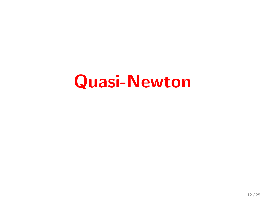# Quasi-Newton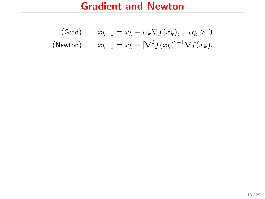(Grad)

\n
$$
x_{k+1} = x_k - \alpha_k \nabla f(x_k), \quad \alpha_k > 0
$$
\n(Newton)

\n
$$
x_{k+1} = x_k - [\nabla^2 f(x_k)]^{-1} \nabla f(x_k).
$$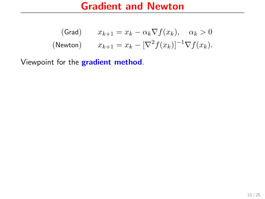(Grad)

\n
$$
x_{k+1} = x_k - \alpha_k \nabla f(x_k), \quad \alpha_k > 0
$$
\n(Newton)

\n
$$
x_{k+1} = x_k - [\nabla^2 f(x_k)]^{-1} \nabla f(x_k).
$$

Viewpoint for the gradient method.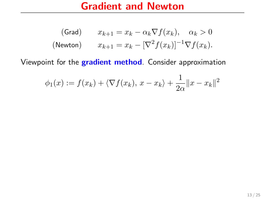(Grad)

\n
$$
x_{k+1} = x_k - \alpha_k \nabla f(x_k), \quad \alpha_k > 0
$$
\n(Newton)

\n
$$
x_{k+1} = x_k - [\nabla^2 f(x_k)]^{-1} \nabla f(x_k).
$$

Viewpoint for the gradient method. Consider approximation

$$
\phi_1(x) := f(x_k) + \langle \nabla f(x_k), x - x_k \rangle + \frac{1}{2\alpha} ||x - x_k||^2
$$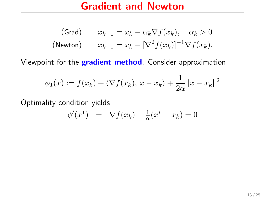(Grad)

\n
$$
x_{k+1} = x_k - \alpha_k \nabla f(x_k), \quad \alpha_k > 0
$$
\n(Newton)

\n
$$
x_{k+1} = x_k - [\nabla^2 f(x_k)]^{-1} \nabla f(x_k).
$$

Viewpoint for the gradient method. Consider approximation

$$
\phi_1(x) := f(x_k) + \langle \nabla f(x_k), x - x_k \rangle + \frac{1}{2\alpha} ||x - x_k||^2
$$

Optimality condition yields

$$
\phi'(x^*) = \nabla f(x_k) + \frac{1}{\alpha}(x^* - x_k) = 0
$$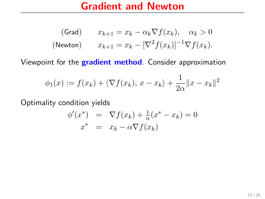(Grad)

\n
$$
x_{k+1} = x_k - \alpha_k \nabla f(x_k), \quad \alpha_k > 0
$$
\n(Newton)

\n
$$
x_{k+1} = x_k - [\nabla^2 f(x_k)]^{-1} \nabla f(x_k).
$$

Viewpoint for the gradient method. Consider approximation

$$
\phi_1(x) := f(x_k) + \langle \nabla f(x_k), x - x_k \rangle + \frac{1}{2\alpha} ||x - x_k||^2
$$

Optimality condition yields

$$
\begin{array}{rcl}\n\phi'(x^*) & = & \nabla f(x_k) + \frac{1}{\alpha}(x^* - x_k) = 0 \\
x^* & = & x_k - \alpha \nabla f(x_k)\n\end{array}
$$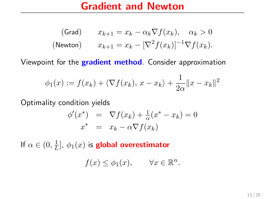(Grad)

\n
$$
x_{k+1} = x_k - \alpha_k \nabla f(x_k), \quad \alpha_k > 0
$$
\n(Newton)

\n
$$
x_{k+1} = x_k - [\nabla^2 f(x_k)]^{-1} \nabla f(x_k).
$$

Viewpoint for the gradient method. Consider approximation

$$
\phi_1(x) := f(x_k) + \langle \nabla f(x_k), x - x_k \rangle + \frac{1}{2\alpha} ||x - x_k||^2
$$

Optimality condition yields

$$
\begin{array}{rcl}\n\phi'(x^*) & = & \nabla f(x_k) + \frac{1}{\alpha}(x^* - x_k) = 0 \\
x^* & = & x_k - \alpha \nabla f(x_k)\n\end{array}
$$

If  $\alpha \in (0, \frac{1}{I})$  $\frac{1}{L}$ ],  $\phi_1(x)$  is **global overestimator** 

$$
f(x) \le \phi_1(x), \qquad \forall x \in \mathbb{R}^n.
$$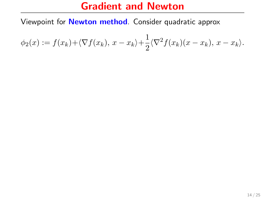Viewpoint for Newton method. Consider quadratic approx

$$
\phi_2(x) := f(x_k) + \langle \nabla f(x_k), x - x_k \rangle + \frac{1}{2} \langle \nabla^2 f(x_k)(x - x_k), x - x_k \rangle.
$$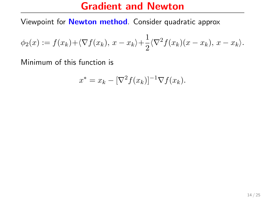Viewpoint for Newton method. Consider quadratic approx

$$
\phi_2(x) := f(x_k) + \langle \nabla f(x_k), x - x_k \rangle + \frac{1}{2} \langle \nabla^2 f(x_k)(x - x_k), x - x_k \rangle.
$$

Minimum of this function is

$$
x^* = x_k - [\nabla^2 f(x_k)]^{-1} \nabla f(x_k).
$$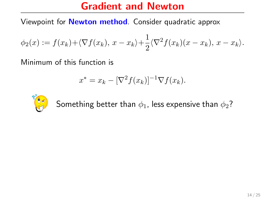Viewpoint for Newton method. Consider quadratic approx

$$
\phi_2(x) := f(x_k) + \langle \nabla f(x_k), x - x_k \rangle + \frac{1}{2} \langle \nabla^2 f(x_k)(x - x_k), x - x_k \rangle.
$$

Minimum of this function is

$$
x^* = x_k - [\nabla^2 f(x_k)]^{-1} \nabla f(x_k).
$$



Something better than  $\phi_1$ , less expensive than  $\phi_2$ ?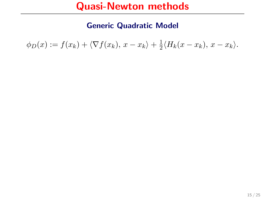Generic Quadratic Model

 $\phi_D(x) := f(x_k) + \langle \nabla f(x_k), x - x_k \rangle + \frac{1}{2}$  $\frac{1}{2}\langle H_k(x-x_k), x-x_k\rangle.$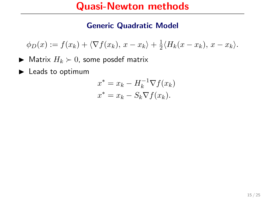#### Generic Quadratic Model

 $\phi_D(x) := f(x_k) + \langle \nabla f(x_k), x - x_k \rangle + \frac{1}{2}$  $\frac{1}{2}\langle H_k(x-x_k), x-x_k\rangle.$ 

- $\blacktriangleright$  Matrix  $H_k \succ 0$ , some posdef matrix
- $\blacktriangleright$  Leads to optimum

$$
x^* = x_k - H_k^{-1} \nabla f(x_k)
$$
  

$$
x^* = x_k - S_k \nabla f(x_k).
$$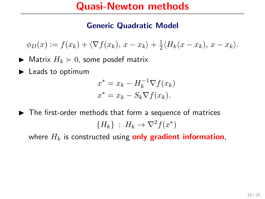#### Generic Quadratic Model

 $\phi_D(x) := f(x_k) + \langle \nabla f(x_k), x - x_k \rangle + \frac{1}{2}$  $\frac{1}{2}\langle H_k(x-x_k), x-x_k\rangle.$ 

- $\blacktriangleright$  Matrix  $H_k \succ 0$ , some posdef matrix
- $\blacktriangleright$  Leads to optimum

$$
x^* = x_k - H_k^{-1} \nabla f(x_k)
$$
  

$$
x^* = x_k - S_k \nabla f(x_k).
$$

 $\blacktriangleright$  The first-order methods that form a sequence of matrices  ${H_k}$  :  $H_k \to \nabla^2 f(x^*)$ 

where  $H_k$  is constructed using only gradient information,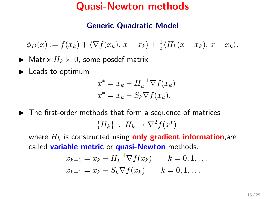#### Generic Quadratic Model

 $\phi_D(x) := f(x_k) + \langle \nabla f(x_k), x - x_k \rangle + \frac{1}{2}$  $\frac{1}{2}\langle H_k(x-x_k), x-x_k\rangle.$ 

- $\blacktriangleright$  Matrix  $H_k \succ 0$ , some posdef matrix
- $\blacktriangleright$  Leads to optimum

$$
x^* = x_k - H_k^{-1} \nabla f(x_k)
$$
  

$$
x^* = x_k - S_k \nabla f(x_k).
$$

 $\blacktriangleright$  The first-order methods that form a sequence of matrices  ${H_k}$  :  $H_k \to \nabla^2 f(x^*)$ 

where  $H_k$  is constructed using **only gradient information**, are called variable metric or quasi-Newton methods.

$$
x_{k+1} = x_k - H_k^{-1} \nabla f(x_k) \qquad k = 0, 1, ...
$$
  

$$
x_{k+1} = x_k - S_k \nabla f(x_k) \qquad k = 0, 1, ...
$$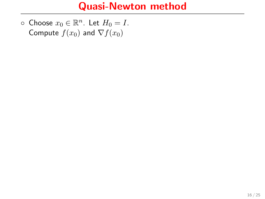$\circ$  Choose  $x_0 \in \mathbb{R}^n$ . Let  $H_0 = I$ . Compute  $f(x_0)$  and  $\nabla f(x_0)$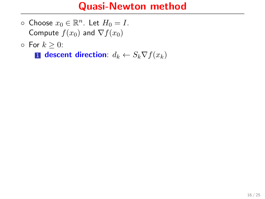- $\circ$  Choose  $x_0 \in \mathbb{R}^n$ . Let  $H_0 = I$ . Compute  $f(x_0)$  and  $\nabla f(x_0)$
- $\circ$  For  $k > 0$ :

1 descent direction:  $d_k \leftarrow S_k \nabla f(x_k)$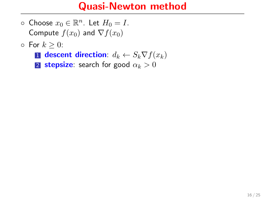- $\circ$  Choose  $x_0 \in \mathbb{R}^n$ . Let  $H_0 = I$ . Compute  $f(x_0)$  and  $\nabla f(x_0)$
- $\circ$  For  $k > 0$ :
	- 1 descent direction:  $d_k \leftarrow S_k \nabla f(x_k)$
	- 2 stepsize: search for good  $\alpha_k > 0$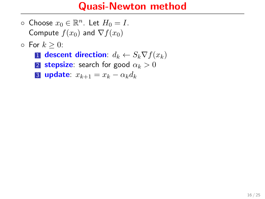- $\circ$  Choose  $x_0 \in \mathbb{R}^n$ . Let  $H_0 = I$ . Compute  $f(x_0)$  and  $\nabla f(x_0)$
- $\circ$  For  $k > 0$ :
	- 1 descent direction:  $d_k \leftarrow S_k \nabla f(x_k)$
	- 2 stepsize: search for good  $\alpha_k > 0$
	- 3 update:  $x_{k+1} = x_k \alpha_k d_k$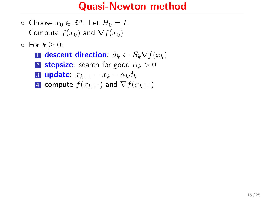- $\circ$  Choose  $x_0 \in \mathbb{R}^n$ . Let  $H_0 = I$ . Compute  $f(x_0)$  and  $\nabla f(x_0)$
- $\circ$  For  $k > 0$ :
	- 1 descent direction:  $d_k \leftarrow S_k \nabla f(x_k)$
	- 2 stepsize: search for good  $\alpha_k > 0$
	- 3 update:  $x_{k+1} = x_k \alpha_k d_k$
	- 4 compute  $f(x_{k+1})$  and  $\nabla f(x_{k+1})$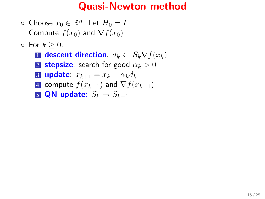- $\circ$  Choose  $x_0 \in \mathbb{R}^n$ . Let  $H_0 = I$ . Compute  $f(x_0)$  and  $\nabla f(x_0)$
- $\circ$  For  $k \geq 0$ :
	- **1** descent direction:  $d_k \leftarrow S_k \nabla f(x_k)$
	- **2 stepsize:** search for good  $\alpha_k > 0$
	- 3 update:  $x_{k+1} = x_k \alpha_k d_k$
	- 4 compute  $f(x_{k+1})$  and  $\nabla f(x_{k+1})$
	- **5 QN update:**  $S_k \rightarrow S_{k+1}$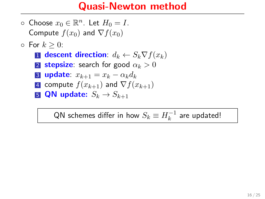- $\circ$  Choose  $x_0 \in \mathbb{R}^n$ . Let  $H_0 = I$ . Compute  $f(x_0)$  and  $\nabla f(x_0)$
- $\circ$  For  $k \geq 0$ :
	- 1 descent direction:  $d_k \leftarrow S_k \nabla f(x_k)$
	- 2 stepsize: search for good  $\alpha_k > 0$
	- 3 update:  $x_{k+1} = x_k \alpha_k d_k$
	- 4 compute  $f(x_{k+1})$  and  $\nabla f(x_{k+1})$
	- **5 QN update:**  $S_k \rightarrow S_{k+1}$

QN schemes differ in how  $S_k\equiv H_k^{-1}$  $k^{-1}$  are updated!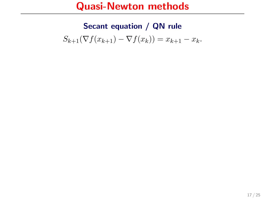#### Secant equation / QN rule

 $S_{k+1}(\nabla f(x_{k+1}) - \nabla f(x_k)) = x_{k+1} - x_k.$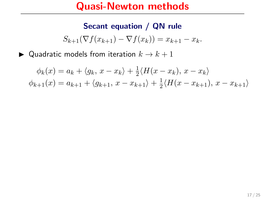#### Secant equation / QN rule

$$
S_{k+1}(\nabla f(x_{k+1}) - \nabla f(x_k)) = x_{k+1} - x_k.
$$

 $\blacktriangleright$  Quadratic models from iteration  $k \to k+1$ 

 $\phi_k(x) = a_k + \langle g_k, x - x_k \rangle + \frac{1}{2}$  $\frac{1}{2}\langle H(x-x_k), x-x_k\rangle$  $\phi_{k+1}(x) = a_{k+1} + \langle g_{k+1}, x - x_{k+1} \rangle + \frac{1}{2}$  $\frac{1}{2}\langle H(x-x_{k+1}), x-x_{k+1}\rangle$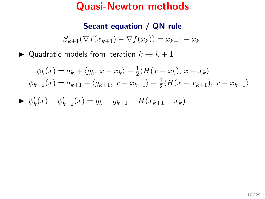#### Secant equation / QN rule

$$
S_{k+1}(\nabla f(x_{k+1}) - \nabla f(x_k)) = x_{k+1} - x_k.
$$

 $\blacktriangleright$  Quadratic models from iteration  $k \to k+1$ 

$$
\phi_k(x) = a_k + \langle g_k, x - x_k \rangle + \frac{1}{2} \langle H(x - x_k), x - x_k \rangle
$$
  

$$
\phi_{k+1}(x) = a_{k+1} + \langle g_{k+1}, x - x_{k+1} \rangle + \frac{1}{2} \langle H(x - x_{k+1}), x - x_{k+1} \rangle
$$

$$
\blacktriangleright \ \phi'_k(x) - \phi'_{k+1}(x) = g_k - g_{k+1} + H(x_{k+1} - x_k)
$$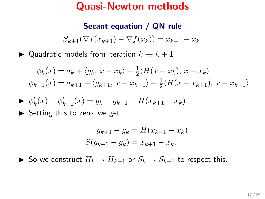#### Secant equation / QN rule

$$
S_{k+1}(\nabla f(x_{k+1}) - \nabla f(x_k)) = x_{k+1} - x_k.
$$

 $\blacktriangleright$  Quadratic models from iteration  $k \to k+1$ 

$$
\phi_k(x) = a_k + \langle g_k, x - x_k \rangle + \frac{1}{2} \langle H(x - x_k), x - x_k \rangle
$$
  

$$
\phi_{k+1}(x) = a_{k+1} + \langle g_{k+1}, x - x_{k+1} \rangle + \frac{1}{2} \langle H(x - x_{k+1}), x - x_{k+1} \rangle
$$

$$
\blacktriangleright \ \phi'_k(x) - \phi'_{k+1}(x) = g_k - g_{k+1} + H(x_{k+1} - x_k)
$$

 $\triangleright$  Setting this to zero, we get

$$
g_{k+1} - g_k = H(x_{k+1} - x_k)
$$
  

$$
S(g_{k+1} - g_k) = x_{k+1} - x_k.
$$

▶ So we construct  $H_k \to H_{k+1}$  or  $S_k \to S_{k+1}$  to respect this.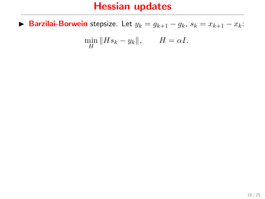► Barzilai-Borwein stepsize. Let  $y_k = g_{k+1} - g_k$ ,  $s_k = x_{k+1} - x_k$ :

$$
\min_{H} \|Hs_k - y_k\|, \qquad H = \alpha I.
$$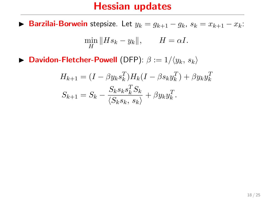► Barzilai-Borwein stepsize. Let  $y_k = g_{k+1} - g_k$ ,  $s_k = x_{k+1} - x_k$ :

$$
\min_{H} \|Hs_k - y_k\|, \qquad H = \alpha I.
$$

**Davidon-Fletcher-Powell** (DFP):  $\beta := 1/\langle y_k, s_k \rangle$ 

$$
H_{k+1} = (I - \beta y_k s_k^T) H_k (I - \beta s_k y_k^T) + \beta y_k y_k^T
$$
  

$$
S_{k+1} = S_k - \frac{S_k s_k s_k^T S_k}{\langle S_k s_k, s_k \rangle} + \beta y_k y_k^T.
$$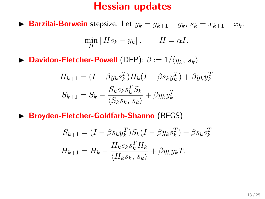► Barzilai-Borwein stepsize. Let  $y_k = g_{k+1} - g_k$ ,  $s_k = x_{k+1} - x_k$ :

$$
\min_{H} \|Hs_k - y_k\|, \qquad H = \alpha I.
$$

**Davidon-Fletcher-Powell** (DFP):  $\beta := 1/\langle y_k, s_k \rangle$ 

$$
H_{k+1} = (I - \beta y_k s_k^T) H_k (I - \beta s_k y_k^T) + \beta y_k y_k^T
$$
  

$$
S_{k+1} = S_k - \frac{S_k s_k s_k^T S_k}{\langle S_k s_k, s_k \rangle} + \beta y_k y_k^T.
$$

▶ Broyden-Fletcher-Goldfarb-Shanno (BFGS)

$$
S_{k+1} = (I - \beta s_k y_k^T) S_k (I - \beta y_k s_k^T) + \beta s_k s_k^T
$$
  

$$
H_{k+1} = H_k - \frac{H_k s_k s_k^T H_k}{\langle H_k s_k, s_k \rangle} + \beta y_k y_k T.
$$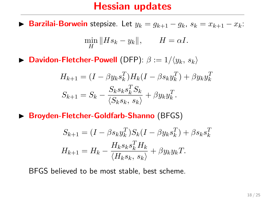**Barzilai-Borwein** stepsize. Let  $y_k = g_{k+1} - g_k$ ,  $s_k = x_{k+1} - x_k$ :

$$
\min_{H} \|Hs_k - y_k\|, \qquad H = \alpha I.
$$

**Davidon-Fletcher-Powell** (DFP):  $\beta := 1/\langle y_k, s_k \rangle$ 

$$
H_{k+1} = (I - \beta y_k s_k^T) H_k (I - \beta s_k y_k^T) + \beta y_k y_k^T
$$
  

$$
S_{k+1} = S_k - \frac{S_k s_k s_k^T S_k}{\langle S_k s_k, s_k \rangle} + \beta y_k y_k^T.
$$

 $\triangleright$  Broyden-Fletcher-Goldfarb-Shanno (BFGS)

$$
S_{k+1} = (I - \beta s_k y_k^T) S_k (I - \beta y_k s_k^T) + \beta s_k s_k^T
$$
  

$$
H_{k+1} = H_k - \frac{H_k s_k s_k^T H_k}{\langle H_k s_k, s_k \rangle} + \beta y_k y_k T.
$$

BFGS believed to be most stable, best scheme.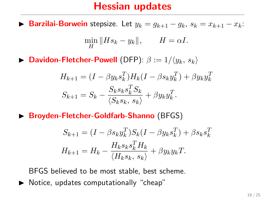**Barzilai-Borwein** stepsize. Let  $y_k = g_{k+1} - g_k$ ,  $s_k = x_{k+1} - x_k$ :

$$
\min_{H} \|Hs_k - y_k\|, \qquad H = \alpha I.
$$

**Davidon-Fletcher-Powell** (DFP):  $\beta := 1/\langle y_k, s_k \rangle$ 

$$
H_{k+1} = (I - \beta y_k s_k^T) H_k (I - \beta s_k y_k^T) + \beta y_k y_k^T
$$
  

$$
S_{k+1} = S_k - \frac{S_k s_k s_k^T S_k}{\langle S_k s_k, s_k \rangle} + \beta y_k y_k^T.
$$

 $\triangleright$  Broyden-Fletcher-Goldfarb-Shanno (BFGS)

$$
S_{k+1} = (I - \beta s_k y_k^T) S_k (I - \beta y_k s_k^T) + \beta s_k s_k^T
$$
  

$$
H_{k+1} = H_k - \frac{H_k s_k s_k^T H_k}{\langle H_k s_k, s_k \rangle} + \beta y_k y_k T.
$$

BFGS believed to be most stable, best scheme.

 $\triangleright$  Notice, updates computationally "cheap"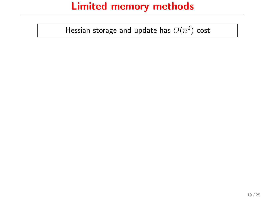Hessian storage and update has  $O(n^2)$  cost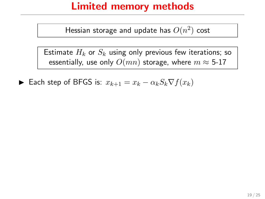Hessian storage and update has  $O(n^2)$  cost

Estimate  $H_k$  or  $S_k$  using only previous few iterations; so essentially, use only  $O(mn)$  storage, where  $m \approx 5-17$ 

► Each step of BFGS is:  $x_{k+1} = x_k - \alpha_k S_k \nabla f(x_k)$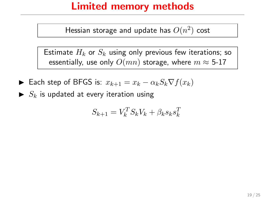Hessian storage and update has  $O(n^2)$  cost

Estimate  $H_k$  or  $S_k$  using only previous few iterations; so essentially, use only  $O(mn)$  storage, where  $m \approx 5$ -17

- **►** Each step of BFGS is:  $x_{k+1} = x_k \alpha_k S_k \nabla f(x_k)$
- $\blacktriangleright$   $S_k$  is updated at every iteration using

$$
S_{k+1} = V_k^T S_k V_k + \beta_k s_k s_k^T
$$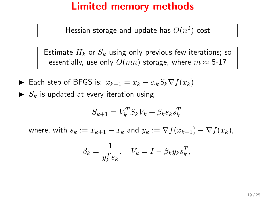Hessian storage and update has  $O(n^2)$  cost

Estimate  $H_k$  or  $S_k$  using only previous few iterations; so essentially, use only  $O(mn)$  storage, where  $m \approx 5-17$ 

- ► Each step of BFGS is:  $x_{k+1} = x_k \alpha_k S_k \nabla f(x_k)$
- $\blacktriangleright$  S<sub>k</sub> is updated at every iteration using

$$
S_{k+1} = V_k^T S_k V_k + \beta_k s_k s_k^T
$$

where, with  $s_k := x_{k+1} - x_k$  and  $y_k := \nabla f(x_{k+1}) - \nabla f(x_k)$ ,

$$
\beta_k = \frac{1}{y_k^T s_k}, \quad V_k = I - \beta_k y_k s_k^T,
$$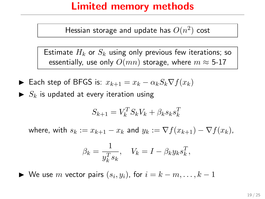Hessian storage and update has  $O(n^2)$  cost

Estimate  $H_k$  or  $S_k$  using only previous few iterations; so essentially, use only  $O(mn)$  storage, where  $m \approx 5-17$ 

- ► Each step of BFGS is:  $x_{k+1} = x_k \alpha_k S_k \nabla f(x_k)$
- $\blacktriangleright$  S<sub>k</sub> is updated at every iteration using

$$
S_{k+1} = V_k^T S_k V_k + \beta_k s_k s_k^T
$$

where, with  $s_k := x_{k+1} - x_k$  and  $y_k := \nabla f(x_{k+1}) - \nabla f(x_k)$ ,

$$
\beta_k = \frac{1}{y_k^T s_k}, \quad V_k = I - \beta_k y_k s_k^T,
$$

Note use m vector pairs  $(s_i, y_i)$ , for  $i = k - m, \ldots, k - 1$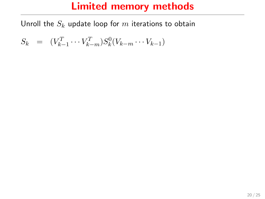$$
S_k = (V_{k-1}^T \cdots V_{k-m}^T) S_k^0 (V_{k-m} \cdots V_{k-1})
$$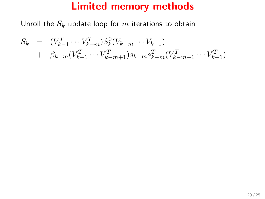$$
S_k = (V_{k-1}^T \cdots V_{k-m}^T) S_k^0 (V_{k-m} \cdots V_{k-1})
$$
  
+  $\beta_{k-m} (V_{k-1}^T \cdots V_{k-m+1}^T) s_{k-m} s_{k-m}^T (V_{k-m+1}^T \cdots V_{k-1}^T)$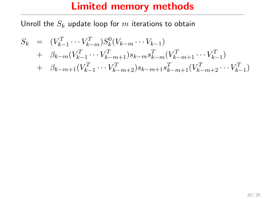$$
S_k = (V_{k-1}^T \cdots V_{k-m}^T) S_k^0 (V_{k-m} \cdots V_{k-1})
$$
  
+  $\beta_{k-m} (V_{k-1}^T \cdots V_{k-m+1}^T) s_{k-m} s_{k-m}^T (V_{k-m+1}^T \cdots V_{k-1}^T)$   
+  $\beta_{k-m+1} (V_{k-1}^T \cdots V_{k-m+2}^T) s_{k-m+1} s_{k-m+1}^T (V_{k-m+2}^T \cdots V_{k-1}^T)$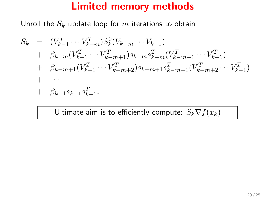Unroll the  $S_k$  update loop for m iterations to obtain

$$
S_k = (V_{k-1}^T \cdots V_{k-m}^T) S_k^0 (V_{k-m} \cdots V_{k-1})
$$
  
+  $\beta_{k-m} (V_{k-1}^T \cdots V_{k-m+1}^T) s_{k-m} s_{k-m}^T (V_{k-m+1}^T \cdots V_{k-1}^T)$   
+  $\beta_{k-m+1} (V_{k-1}^T \cdots V_{k-m+2}^T) s_{k-m+1} s_{k-m+1}^T (V_{k-m+2}^T \cdots V_{k-1}^T)$   
+  $\cdots$   
+  $\beta_{k-1} s_{k-1} s_{k-1}^T$ .

Ultimate aim is to efficiently compute:  $S_k \nabla f(x_k)$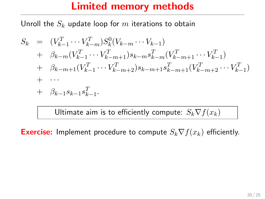Unroll the  $S_k$  update loop for m iterations to obtain

$$
S_k = (V_{k-1}^T \cdots V_{k-m}^T) S_k^0 (V_{k-m} \cdots V_{k-1})
$$
  
+  $\beta_{k-m} (V_{k-1}^T \cdots V_{k-m+1}^T) s_{k-m} s_{k-m}^T (V_{k-m+1}^T \cdots V_{k-1}^T)$   
+  $\beta_{k-m+1} (V_{k-1}^T \cdots V_{k-m+2}^T) s_{k-m+1} s_{k-m+1}^T (V_{k-m+2}^T \cdots V_{k-1}^T)$   
+  $\cdots$   
+  $\beta_{k-1} s_{k-1} s_{k-1}^T$ .

Ultimate aim is to efficiently compute:  $S_k \nabla f(x_k)$ 

**Exercise:** Implement procedure to compute  $S_k \nabla f(x_k)$  efficiently.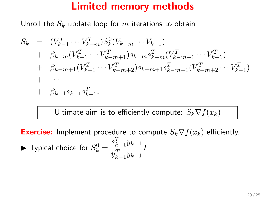Unroll the  $S_k$  update loop for m iterations to obtain

$$
S_k = (V_{k-1}^T \cdots V_{k-m}^T) S_k^0 (V_{k-m} \cdots V_{k-1})
$$
  
+  $\beta_{k-m} (V_{k-1}^T \cdots V_{k-m+1}^T) s_{k-m} s_{k-m}^T (V_{k-m+1}^T \cdots V_{k-1}^T)$   
+  $\beta_{k-m+1} (V_{k-1}^T \cdots V_{k-m+2}^T) s_{k-m+1} s_{k-m+1}^T (V_{k-m+2}^T \cdots V_{k-1}^T)$   
+  $\cdots$   
+  $\beta_{k-1} s_{k-1} s_{k-1}^T$ .

Ultimate aim is to efficiently compute:  $S_k \nabla f(x_k)$ 

**Exercise:** Implement procedure to compute  $S_k \nabla f(x_k)$  efficiently.  $\blacktriangleright$  Typical choice for  $S^0_k =$  $s_{k-1}^T y_{k-1}$  $y_{k-1}^T y_{k-1}$ I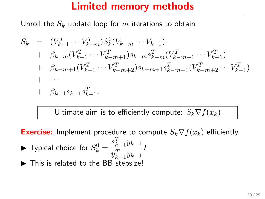Unroll the  $S_k$  update loop for m iterations to obtain

$$
S_k = (V_{k-1}^T \cdots V_{k-m}^T) S_k^0 (V_{k-m} \cdots V_{k-1})
$$
  
+  $\beta_{k-m} (V_{k-1}^T \cdots V_{k-m+1}^T) s_{k-m} s_{k-m}^T (V_{k-m+1}^T \cdots V_{k-1}^T)$   
+  $\beta_{k-m+1} (V_{k-1}^T \cdots V_{k-m+2}^T) s_{k-m+1} s_{k-m+1}^T (V_{k-m+2}^T \cdots V_{k-1}^T)$   
+  $\cdots$   
+  $\beta_{k-1} s_{k-1} s_{k-1}^T$ .

Ultimate aim is to efficiently compute:  $S_k \nabla f(x_k)$ 

**Exercise:** Implement procedure to compute  $S_k \nabla f(x_k)$  efficiently.  $\blacktriangleright$  Typical choice for  $S^0_k =$  $s_{k-1}^T y_{k-1}$  $y_{k-1}^T y_{k-1}$ I  $\blacktriangleright$  This is related to the BB stepsize!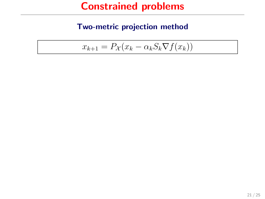#### Two-metric projection method

$$
x_{k+1} = P_{\mathcal{X}}(x_k - \alpha_k S_k \nabla f(x_k))
$$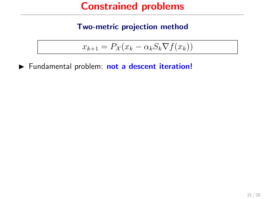#### Two-metric projection method

$$
x_{k+1} = P_{\mathcal{X}}(x_k - \alpha_k S_k \nabla f(x_k))
$$

Fundamental problem: not a descent iteration!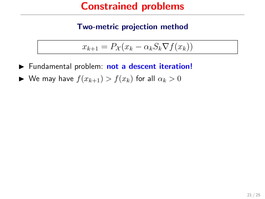#### Two-metric projection method

$$
x_{k+1} = P_{\mathcal{X}}(x_k - \alpha_k S_k \nabla f(x_k))
$$

- Fundamental problem: not a descent iteration!
- $\blacktriangleright$  We may have  $f(x_{k+1}) > f(x_k)$  for all  $\alpha_k > 0$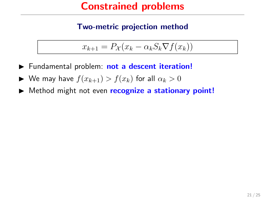#### Two-metric projection method

$$
x_{k+1} = P_{\mathcal{X}}(x_k - \alpha_k S_k \nabla f(x_k))
$$

- Fundamental problem: not a descent iteration!
- $\blacktriangleright$  We may have  $f(x_{k+1}) > f(x_k)$  for all  $\alpha_k > 0$
- ▶ Method might not even recognize a stationary point!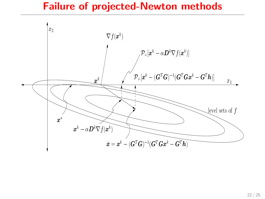#### Failure of projected-Newton methods

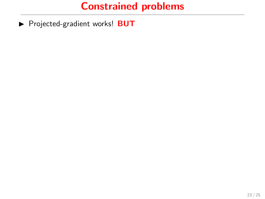Projected-gradient works! BUT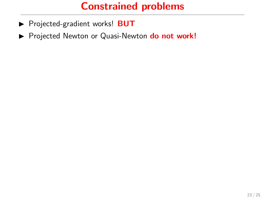- Projected-gradient works! BUT
- Projected Newton or Quasi-Newton do not work!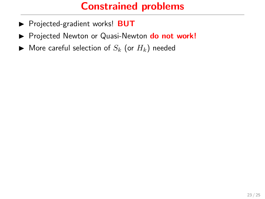- Projected-gradient works! BUT
- Projected Newton or Quasi-Newton do not work!
- $\blacktriangleright$  More careful selection of  $S_k$  (or  $H_k$ ) needed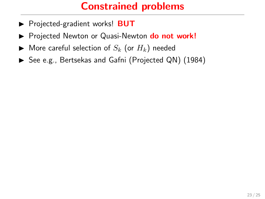- Projected-gradient works! BUT
- Projected Newton or Quasi-Newton do not work!
- $\blacktriangleright$  More careful selection of  $S_k$  (or  $H_k$ ) needed
- ▶ See e.g., Bertsekas and Gafni (Projected QN) (1984)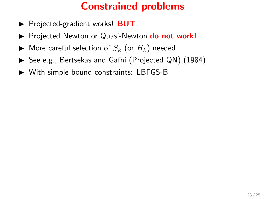- ▶ Projected-gradient works! **BUT**
- **Projected Newton or Quasi-Newton do not work!**
- $\blacktriangleright$  More careful selection of  $S_k$  (or  $H_k$ ) needed
- ▶ See e.g., Bertsekas and Gafni (Projected QN) (1984)
- $\triangleright$  With simple bound constraints: LBFGS-B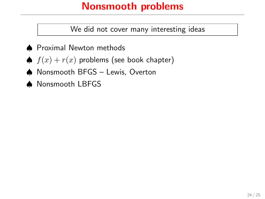# Nonsmooth problems

We did not cover many interesting ideas

- ♠ Proximal Newton methods
- ♦  $f(x) + r(x)$  problems (see book chapter)
- ♠ Nonsmooth BFGS Lewis, Overton
- ♠ Nonsmooth LBFGS